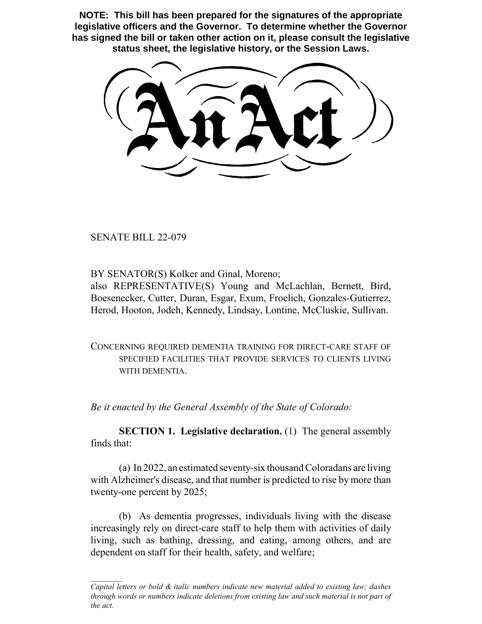**NOTE: This bill has been prepared for the signatures of the appropriate legislative officers and the Governor. To determine whether the Governor has signed the bill or taken other action on it, please consult the legislative status sheet, the legislative history, or the Session Laws.**

SENATE BILL 22-079

BY SENATOR(S) Kolker and Ginal, Moreno;

also REPRESENTATIVE(S) Young and McLachlan, Bernett, Bird, Boesenecker, Cutter, Duran, Esgar, Exum, Froelich, Gonzales-Gutierrez, Herod, Hooton, Jodeh, Kennedy, Lindsay, Lontine, McCluskie, Sullivan.

CONCERNING REQUIRED DEMENTIA TRAINING FOR DIRECT-CARE STAFF OF SPECIFIED FACILITIES THAT PROVIDE SERVICES TO CLIENTS LIVING WITH DEMENTIA.

*Be it enacted by the General Assembly of the State of Colorado:*

**SECTION 1. Legislative declaration.** (1) The general assembly finds that:

(a) In 2022, an estimated seventy-six thousand Coloradans are living with Alzheimer's disease, and that number is predicted to rise by more than twenty-one percent by 2025;

(b) As dementia progresses, individuals living with the disease increasingly rely on direct-care staff to help them with activities of daily living, such as bathing, dressing, and eating, among others, and are dependent on staff for their health, safety, and welfare;

*Capital letters or bold & italic numbers indicate new material added to existing law; dashes through words or numbers indicate deletions from existing law and such material is not part of the act.*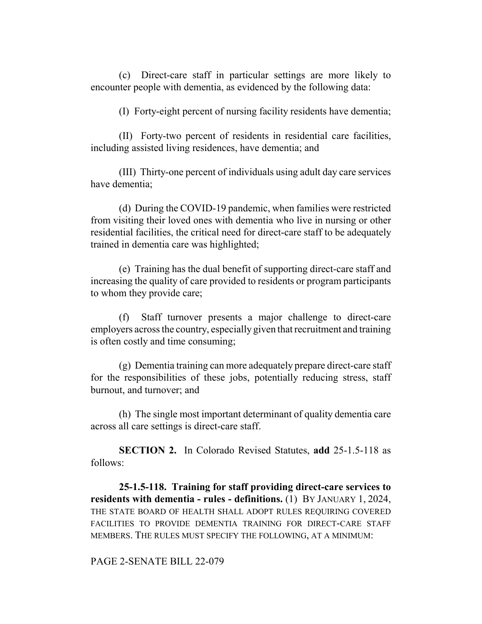(c) Direct-care staff in particular settings are more likely to encounter people with dementia, as evidenced by the following data:

(I) Forty-eight percent of nursing facility residents have dementia;

(II) Forty-two percent of residents in residential care facilities, including assisted living residences, have dementia; and

(III) Thirty-one percent of individuals using adult day care services have dementia;

(d) During the COVID-19 pandemic, when families were restricted from visiting their loved ones with dementia who live in nursing or other residential facilities, the critical need for direct-care staff to be adequately trained in dementia care was highlighted;

(e) Training has the dual benefit of supporting direct-care staff and increasing the quality of care provided to residents or program participants to whom they provide care;

(f) Staff turnover presents a major challenge to direct-care employers across the country, especially given that recruitment and training is often costly and time consuming;

(g) Dementia training can more adequately prepare direct-care staff for the responsibilities of these jobs, potentially reducing stress, staff burnout, and turnover; and

(h) The single most important determinant of quality dementia care across all care settings is direct-care staff.

**SECTION 2.** In Colorado Revised Statutes, **add** 25-1.5-118 as follows:

**25-1.5-118. Training for staff providing direct-care services to residents with dementia - rules - definitions.** (1) BY JANUARY 1, 2024, THE STATE BOARD OF HEALTH SHALL ADOPT RULES REQUIRING COVERED FACILITIES TO PROVIDE DEMENTIA TRAINING FOR DIRECT-CARE STAFF MEMBERS. THE RULES MUST SPECIFY THE FOLLOWING, AT A MINIMUM:

## PAGE 2-SENATE BILL 22-079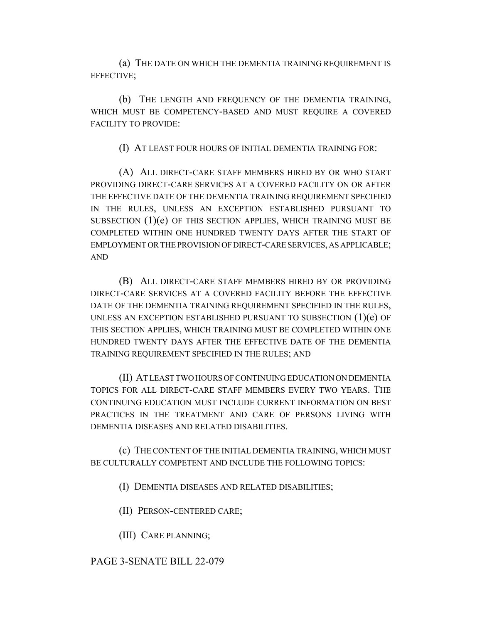(a) THE DATE ON WHICH THE DEMENTIA TRAINING REQUIREMENT IS EFFECTIVE;

(b) THE LENGTH AND FREQUENCY OF THE DEMENTIA TRAINING, WHICH MUST BE COMPETENCY-BASED AND MUST REQUIRE A COVERED FACILITY TO PROVIDE:

(I) AT LEAST FOUR HOURS OF INITIAL DEMENTIA TRAINING FOR:

(A) ALL DIRECT-CARE STAFF MEMBERS HIRED BY OR WHO START PROVIDING DIRECT-CARE SERVICES AT A COVERED FACILITY ON OR AFTER THE EFFECTIVE DATE OF THE DEMENTIA TRAINING REQUIREMENT SPECIFIED IN THE RULES, UNLESS AN EXCEPTION ESTABLISHED PURSUANT TO SUBSECTION  $(1)(e)$  OF THIS SECTION APPLIES, WHICH TRAINING MUST BE COMPLETED WITHIN ONE HUNDRED TWENTY DAYS AFTER THE START OF EMPLOYMENT OR THE PROVISION OF DIRECT-CARE SERVICES, AS APPLICABLE; AND

(B) ALL DIRECT-CARE STAFF MEMBERS HIRED BY OR PROVIDING DIRECT-CARE SERVICES AT A COVERED FACILITY BEFORE THE EFFECTIVE DATE OF THE DEMENTIA TRAINING REQUIREMENT SPECIFIED IN THE RULES, UNLESS AN EXCEPTION ESTABLISHED PURSUANT TO SUBSECTION (1)(e) OF THIS SECTION APPLIES, WHICH TRAINING MUST BE COMPLETED WITHIN ONE HUNDRED TWENTY DAYS AFTER THE EFFECTIVE DATE OF THE DEMENTIA TRAINING REQUIREMENT SPECIFIED IN THE RULES; AND

(II) AT LEAST TWO HOURS OF CONTINUING EDUCATION ON DEMENTIA TOPICS FOR ALL DIRECT-CARE STAFF MEMBERS EVERY TWO YEARS. THE CONTINUING EDUCATION MUST INCLUDE CURRENT INFORMATION ON BEST PRACTICES IN THE TREATMENT AND CARE OF PERSONS LIVING WITH DEMENTIA DISEASES AND RELATED DISABILITIES.

(c) THE CONTENT OF THE INITIAL DEMENTIA TRAINING, WHICH MUST BE CULTURALLY COMPETENT AND INCLUDE THE FOLLOWING TOPICS:

(I) DEMENTIA DISEASES AND RELATED DISABILITIES;

(II) PERSON-CENTERED CARE;

(III) CARE PLANNING;

PAGE 3-SENATE BILL 22-079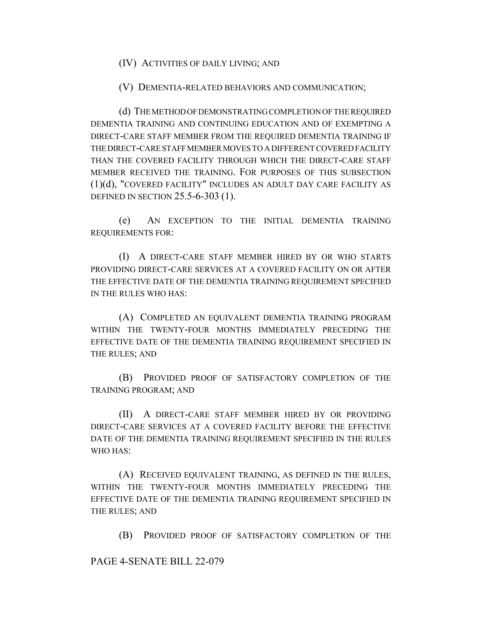(IV) ACTIVITIES OF DAILY LIVING; AND

(V) DEMENTIA-RELATED BEHAVIORS AND COMMUNICATION;

(d) THE METHOD OF DEMONSTRATING COMPLETION OF THE REQUIRED DEMENTIA TRAINING AND CONTINUING EDUCATION AND OF EXEMPTING A DIRECT-CARE STAFF MEMBER FROM THE REQUIRED DEMENTIA TRAINING IF THE DIRECT-CARE STAFF MEMBER MOVES TO A DIFFERENT COVERED FACILITY THAN THE COVERED FACILITY THROUGH WHICH THE DIRECT-CARE STAFF MEMBER RECEIVED THE TRAINING. FOR PURPOSES OF THIS SUBSECTION (1)(d), "COVERED FACILITY" INCLUDES AN ADULT DAY CARE FACILITY AS DEFINED IN SECTION 25.5-6-303 (1).

(e) AN EXCEPTION TO THE INITIAL DEMENTIA TRAINING REQUIREMENTS FOR:

(I) A DIRECT-CARE STAFF MEMBER HIRED BY OR WHO STARTS PROVIDING DIRECT-CARE SERVICES AT A COVERED FACILITY ON OR AFTER THE EFFECTIVE DATE OF THE DEMENTIA TRAINING REQUIREMENT SPECIFIED IN THE RULES WHO HAS:

(A) COMPLETED AN EQUIVALENT DEMENTIA TRAINING PROGRAM WITHIN THE TWENTY-FOUR MONTHS IMMEDIATELY PRECEDING THE EFFECTIVE DATE OF THE DEMENTIA TRAINING REQUIREMENT SPECIFIED IN THE RULES; AND

(B) PROVIDED PROOF OF SATISFACTORY COMPLETION OF THE TRAINING PROGRAM; AND

(II) A DIRECT-CARE STAFF MEMBER HIRED BY OR PROVIDING DIRECT-CARE SERVICES AT A COVERED FACILITY BEFORE THE EFFECTIVE DATE OF THE DEMENTIA TRAINING REQUIREMENT SPECIFIED IN THE RULES WHO HAS:

(A) RECEIVED EQUIVALENT TRAINING, AS DEFINED IN THE RULES, WITHIN THE TWENTY-FOUR MONTHS IMMEDIATELY PRECEDING THE EFFECTIVE DATE OF THE DEMENTIA TRAINING REQUIREMENT SPECIFIED IN THE RULES; AND

(B) PROVIDED PROOF OF SATISFACTORY COMPLETION OF THE

PAGE 4-SENATE BILL 22-079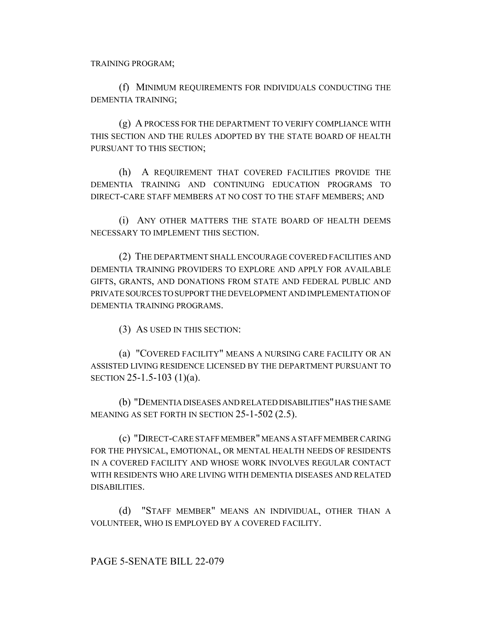TRAINING PROGRAM;

(f) MINIMUM REQUIREMENTS FOR INDIVIDUALS CONDUCTING THE DEMENTIA TRAINING;

(g) A PROCESS FOR THE DEPARTMENT TO VERIFY COMPLIANCE WITH THIS SECTION AND THE RULES ADOPTED BY THE STATE BOARD OF HEALTH PURSUANT TO THIS SECTION;

(h) A REQUIREMENT THAT COVERED FACILITIES PROVIDE THE DEMENTIA TRAINING AND CONTINUING EDUCATION PROGRAMS TO DIRECT-CARE STAFF MEMBERS AT NO COST TO THE STAFF MEMBERS; AND

(i) ANY OTHER MATTERS THE STATE BOARD OF HEALTH DEEMS NECESSARY TO IMPLEMENT THIS SECTION.

(2) THE DEPARTMENT SHALL ENCOURAGE COVERED FACILITIES AND DEMENTIA TRAINING PROVIDERS TO EXPLORE AND APPLY FOR AVAILABLE GIFTS, GRANTS, AND DONATIONS FROM STATE AND FEDERAL PUBLIC AND PRIVATE SOURCES TO SUPPORT THE DEVELOPMENT AND IMPLEMENTATION OF DEMENTIA TRAINING PROGRAMS.

(3) AS USED IN THIS SECTION:

(a) "COVERED FACILITY" MEANS A NURSING CARE FACILITY OR AN ASSISTED LIVING RESIDENCE LICENSED BY THE DEPARTMENT PURSUANT TO SECTION 25-1.5-103 (1)(a).

(b) "DEMENTIA DISEASES AND RELATED DISABILITIES" HAS THE SAME MEANING AS SET FORTH IN SECTION 25-1-502 (2.5).

(c) "DIRECT-CARE STAFF MEMBER" MEANS A STAFF MEMBER CARING FOR THE PHYSICAL, EMOTIONAL, OR MENTAL HEALTH NEEDS OF RESIDENTS IN A COVERED FACILITY AND WHOSE WORK INVOLVES REGULAR CONTACT WITH RESIDENTS WHO ARE LIVING WITH DEMENTIA DISEASES AND RELATED DISABILITIES.

(d) "STAFF MEMBER" MEANS AN INDIVIDUAL, OTHER THAN A VOLUNTEER, WHO IS EMPLOYED BY A COVERED FACILITY.

PAGE 5-SENATE BILL 22-079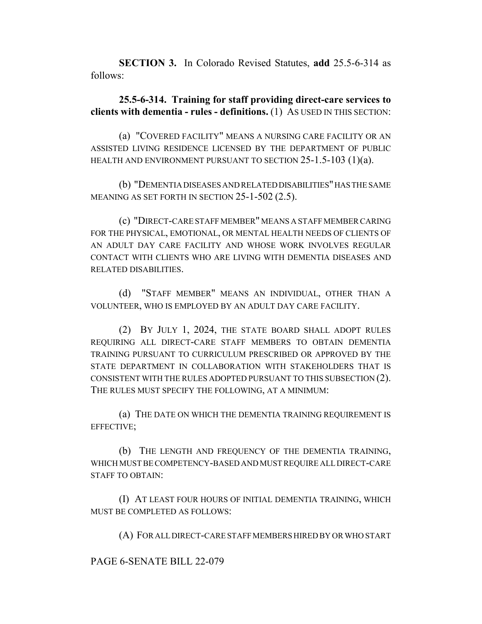**SECTION 3.** In Colorado Revised Statutes, **add** 25.5-6-314 as follows:

## **25.5-6-314. Training for staff providing direct-care services to clients with dementia - rules - definitions.** (1) AS USED IN THIS SECTION:

(a) "COVERED FACILITY" MEANS A NURSING CARE FACILITY OR AN ASSISTED LIVING RESIDENCE LICENSED BY THE DEPARTMENT OF PUBLIC HEALTH AND ENVIRONMENT PURSUANT TO SECTION 25-1.5-103 (1)(a).

(b) "DEMENTIA DISEASES AND RELATED DISABILITIES" HAS THE SAME MEANING AS SET FORTH IN SECTION 25-1-502 (2.5).

(c) "DIRECT-CARE STAFF MEMBER" MEANS A STAFF MEMBER CARING FOR THE PHYSICAL, EMOTIONAL, OR MENTAL HEALTH NEEDS OF CLIENTS OF AN ADULT DAY CARE FACILITY AND WHOSE WORK INVOLVES REGULAR CONTACT WITH CLIENTS WHO ARE LIVING WITH DEMENTIA DISEASES AND RELATED DISABILITIES.

(d) "STAFF MEMBER" MEANS AN INDIVIDUAL, OTHER THAN A VOLUNTEER, WHO IS EMPLOYED BY AN ADULT DAY CARE FACILITY.

(2) BY JULY 1, 2024, THE STATE BOARD SHALL ADOPT RULES REQUIRING ALL DIRECT-CARE STAFF MEMBERS TO OBTAIN DEMENTIA TRAINING PURSUANT TO CURRICULUM PRESCRIBED OR APPROVED BY THE STATE DEPARTMENT IN COLLABORATION WITH STAKEHOLDERS THAT IS CONSISTENT WITH THE RULES ADOPTED PURSUANT TO THIS SUBSECTION (2). THE RULES MUST SPECIFY THE FOLLOWING, AT A MINIMUM:

(a) THE DATE ON WHICH THE DEMENTIA TRAINING REQUIREMENT IS EFFECTIVE;

(b) THE LENGTH AND FREQUENCY OF THE DEMENTIA TRAINING, WHICH MUST BE COMPETENCY-BASED AND MUST REQUIRE ALL DIRECT-CARE STAFF TO OBTAIN:

(I) AT LEAST FOUR HOURS OF INITIAL DEMENTIA TRAINING, WHICH MUST BE COMPLETED AS FOLLOWS:

(A) FOR ALL DIRECT-CARE STAFF MEMBERS HIRED BY OR WHO START

## PAGE 6-SENATE BILL 22-079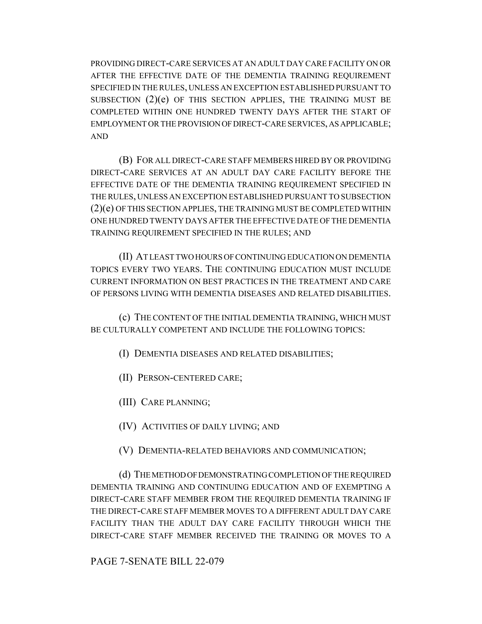PROVIDING DIRECT-CARE SERVICES AT AN ADULT DAY CARE FACILITY ON OR AFTER THE EFFECTIVE DATE OF THE DEMENTIA TRAINING REQUIREMENT SPECIFIED IN THE RULES, UNLESS AN EXCEPTION ESTABLISHED PURSUANT TO SUBSECTION  $(2)(e)$  OF THIS SECTION APPLIES, THE TRAINING MUST BE COMPLETED WITHIN ONE HUNDRED TWENTY DAYS AFTER THE START OF EMPLOYMENT OR THE PROVISION OF DIRECT-CARE SERVICES, AS APPLICABLE; AND

(B) FOR ALL DIRECT-CARE STAFF MEMBERS HIRED BY OR PROVIDING DIRECT-CARE SERVICES AT AN ADULT DAY CARE FACILITY BEFORE THE EFFECTIVE DATE OF THE DEMENTIA TRAINING REQUIREMENT SPECIFIED IN THE RULES, UNLESS AN EXCEPTION ESTABLISHED PURSUANT TO SUBSECTION (2)(e) OF THIS SECTION APPLIES, THE TRAINING MUST BE COMPLETED WITHIN ONE HUNDRED TWENTY DAYS AFTER THE EFFECTIVE DATE OF THE DEMENTIA TRAINING REQUIREMENT SPECIFIED IN THE RULES; AND

(II) AT LEAST TWO HOURS OF CONTINUING EDUCATION ON DEMENTIA TOPICS EVERY TWO YEARS. THE CONTINUING EDUCATION MUST INCLUDE CURRENT INFORMATION ON BEST PRACTICES IN THE TREATMENT AND CARE OF PERSONS LIVING WITH DEMENTIA DISEASES AND RELATED DISABILITIES.

(c) THE CONTENT OF THE INITIAL DEMENTIA TRAINING, WHICH MUST BE CULTURALLY COMPETENT AND INCLUDE THE FOLLOWING TOPICS:

(I) DEMENTIA DISEASES AND RELATED DISABILITIES;

(II) PERSON-CENTERED CARE;

(III) CARE PLANNING;

(IV) ACTIVITIES OF DAILY LIVING; AND

(V) DEMENTIA-RELATED BEHAVIORS AND COMMUNICATION;

(d) THE METHOD OF DEMONSTRATING COMPLETION OF THE REQUIRED DEMENTIA TRAINING AND CONTINUING EDUCATION AND OF EXEMPTING A DIRECT-CARE STAFF MEMBER FROM THE REQUIRED DEMENTIA TRAINING IF THE DIRECT-CARE STAFF MEMBER MOVES TO A DIFFERENT ADULT DAY CARE FACILITY THAN THE ADULT DAY CARE FACILITY THROUGH WHICH THE DIRECT-CARE STAFF MEMBER RECEIVED THE TRAINING OR MOVES TO A

PAGE 7-SENATE BILL 22-079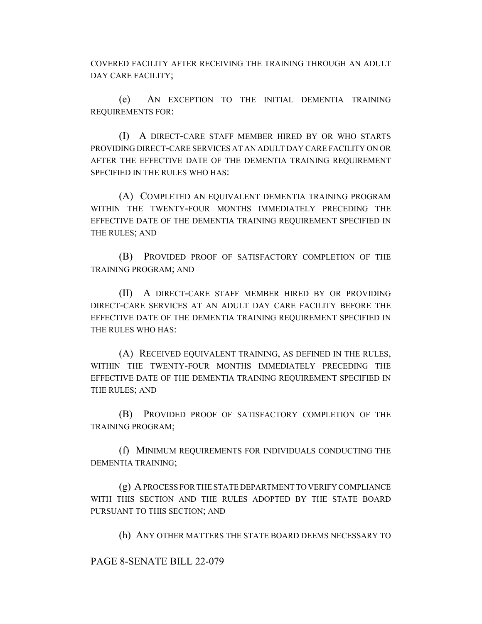COVERED FACILITY AFTER RECEIVING THE TRAINING THROUGH AN ADULT DAY CARE FACILITY;

(e) AN EXCEPTION TO THE INITIAL DEMENTIA TRAINING REQUIREMENTS FOR:

(I) A DIRECT-CARE STAFF MEMBER HIRED BY OR WHO STARTS PROVIDING DIRECT-CARE SERVICES AT AN ADULT DAY CARE FACILITY ON OR AFTER THE EFFECTIVE DATE OF THE DEMENTIA TRAINING REQUIREMENT SPECIFIED IN THE RULES WHO HAS:

(A) COMPLETED AN EQUIVALENT DEMENTIA TRAINING PROGRAM WITHIN THE TWENTY-FOUR MONTHS IMMEDIATELY PRECEDING THE EFFECTIVE DATE OF THE DEMENTIA TRAINING REQUIREMENT SPECIFIED IN THE RULES; AND

(B) PROVIDED PROOF OF SATISFACTORY COMPLETION OF THE TRAINING PROGRAM; AND

(II) A DIRECT-CARE STAFF MEMBER HIRED BY OR PROVIDING DIRECT-CARE SERVICES AT AN ADULT DAY CARE FACILITY BEFORE THE EFFECTIVE DATE OF THE DEMENTIA TRAINING REQUIREMENT SPECIFIED IN THE RULES WHO HAS:

(A) RECEIVED EQUIVALENT TRAINING, AS DEFINED IN THE RULES, WITHIN THE TWENTY-FOUR MONTHS IMMEDIATELY PRECEDING THE EFFECTIVE DATE OF THE DEMENTIA TRAINING REQUIREMENT SPECIFIED IN THE RULES; AND

(B) PROVIDED PROOF OF SATISFACTORY COMPLETION OF THE TRAINING PROGRAM;

(f) MINIMUM REQUIREMENTS FOR INDIVIDUALS CONDUCTING THE DEMENTIA TRAINING;

(g) A PROCESS FOR THE STATE DEPARTMENT TO VERIFY COMPLIANCE WITH THIS SECTION AND THE RULES ADOPTED BY THE STATE BOARD PURSUANT TO THIS SECTION; AND

(h) ANY OTHER MATTERS THE STATE BOARD DEEMS NECESSARY TO

PAGE 8-SENATE BILL 22-079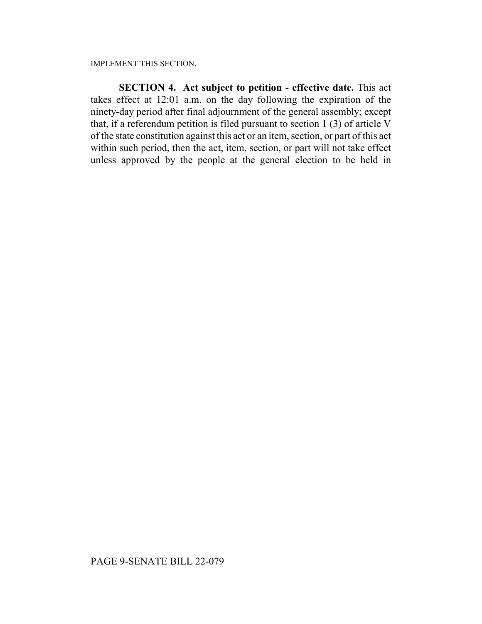IMPLEMENT THIS SECTION.

**SECTION 4. Act subject to petition - effective date.** This act takes effect at 12:01 a.m. on the day following the expiration of the ninety-day period after final adjournment of the general assembly; except that, if a referendum petition is filed pursuant to section 1 (3) of article V of the state constitution against this act or an item, section, or part of this act within such period, then the act, item, section, or part will not take effect unless approved by the people at the general election to be held in